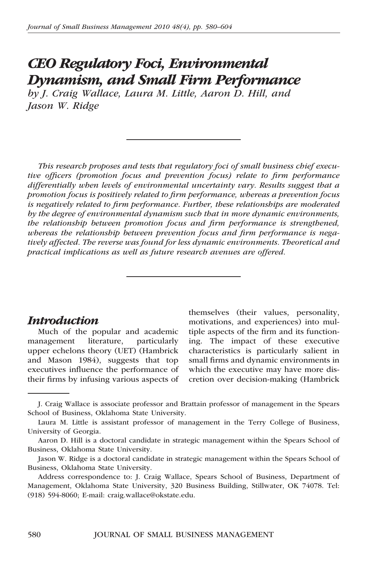# *CEO Regulatory Foci, Environmental Dynamism, and Small Firm Performance*

*by J. Craig Wallace, Laura M. Little, Aaron D. Hill, and Jason W. Ridge*

*This research proposes and tests that regulatory foci of small business chief executive officers (promotion focus and prevention focus) relate to firm performance differentially when levels of environmental uncertainty vary. Results suggest that a promotion focus is positively related to firm performance, whereas a prevention focus is negatively related to firm performance. Further, these relationships are moderated by the degree of environmental dynamism such that in more dynamic environments, the relationship between promotion focus and firm performance is strengthened, whereas the relationship between prevention focus and firm performance is negatively affected. The reverse was found for less dynamic environments. Theoretical and practical implications as well as future research avenues are offered.*

### *Introduction*

Much of the popular and academic management literature, particularly upper echelons theory (UET) (Hambrick and Mason 1984), suggests that top executives influence the performance of their firms by infusing various aspects of

themselves (their values, personality, motivations, and experiences) into multiple aspects of the firm and its functioning. The impact of these executive characteristics is particularly salient in small firms and dynamic environments in which the executive may have more discretion over decision-making (Hambrick

J. Craig Wallace is associate professor and Brattain professor of management in the Spears School of Business, Oklahoma State University.

Laura M. Little is assistant professor of management in the Terry College of Business, University of Georgia.

Aaron D. Hill is a doctoral candidate in strategic management within the Spears School of Business, Oklahoma State University.

Jason W. Ridge is a doctoral candidate in strategic management within the Spears School of Business, Oklahoma State University.

Address correspondence to: J. Craig Wallace, Spears School of Business, Department of Management, Oklahoma State University, 320 Business Building, Stillwater, OK 74078. Tel: (918) 594-8060; E-mail: craig.wallace@okstate.edu.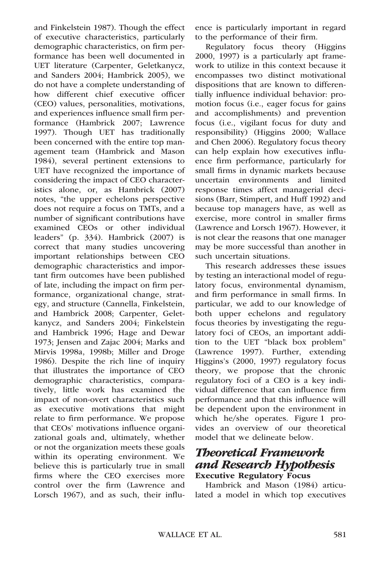and Finkelstein 1987). Though the effect of executive characteristics, particularly demographic characteristics, on firm performance has been well documented in UET literature (Carpenter, Geletkanycz, and Sanders 2004; Hambrick 2005), we do not have a complete understanding of how different chief executive officer (CEO) values, personalities, motivations, and experiences influence small firm performance (Hambrick 2007; Lawrence 1997). Though UET has traditionally been concerned with the entire top management team (Hambrick and Mason 1984), several pertinent extensions to UET have recognized the importance of considering the impact of CEO characteristics alone, or, as Hambrick (2007) notes, "the upper echelons perspective does not require a focus on TMTs, and a number of significant contributions have examined CEOs or other individual leaders" (p. 334). Hambrick (2007) is correct that many studies uncovering important relationships between CEO demographic characteristics and important firm outcomes have been published of late, including the impact on firm performance, organizational change, strategy, and structure (Cannella, Finkelstein, and Hambrick 2008; Carpenter, Geletkanycz, and Sanders 2004; Finkelstein and Hambrick 1996; Hage and Dewar 1973; Jensen and Zajac 2004; Marks and Mirvis 1998a, 1998b; Miller and Droge 1986). Despite the rich line of inquiry that illustrates the importance of CEO demographic characteristics, comparatively, little work has examined the impact of non-overt characteristics such as executive motivations that might relate to firm performance. We propose that CEOs' motivations influence organizational goals and, ultimately, whether or not the organization meets these goals within its operating environment. We believe this is particularly true in small firms where the CEO exercises more control over the firm (Lawrence and Lorsch 1967), and as such, their influence is particularly important in regard to the performance of their firm.

Regulatory focus theory (Higgins 2000, 1997) is a particularly apt framework to utilize in this context because it encompasses two distinct motivational dispositions that are known to differentially influence individual behavior: promotion focus (i.e., eager focus for gains and accomplishments) and prevention focus (i.e., vigilant focus for duty and responsibility) (Higgins 2000; Wallace and Chen 2006). Regulatory focus theory can help explain how executives influence firm performance, particularly for small firms in dynamic markets because uncertain environments and limited response times affect managerial decisions (Barr, Stimpert, and Huff 1992) and because top managers have, as well as exercise, more control in smaller firms (Lawrence and Lorsch 1967). However, it is not clear the reasons that one manager may be more successful than another in such uncertain situations.

This research addresses these issues by testing an interactional model of regulatory focus, environmental dynamism, and firm performance in small firms. In particular, we add to our knowledge of both upper echelons and regulatory focus theories by investigating the regulatory foci of CEOs, an important addition to the UET "black box problem" (Lawrence 1997). Further, extending Higgins's (2000, 1997) regulatory focus theory, we propose that the chronic regulatory foci of a CEO is a key individual difference that can influence firm performance and that this influence will be dependent upon the environment in which he/she operates. Figure 1 provides an overview of our theoretical model that we delineate below.

## *Theoretical Framework and Research Hypothesis* Executive Regulatory Focus

Hambrick and Mason (1984) articulated a model in which top executives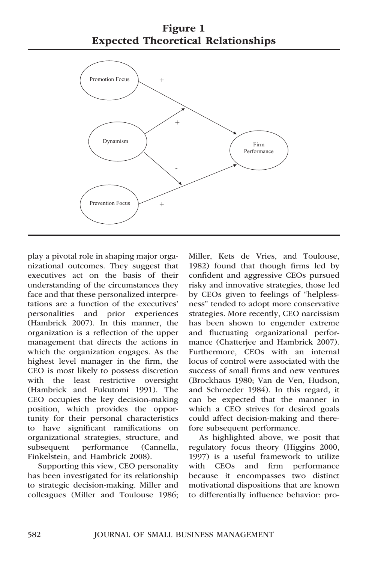Figure 1 Expected Theoretical Relationships



play a pivotal role in shaping major organizational outcomes. They suggest that executives act on the basis of their understanding of the circumstances they face and that these personalized interpretations are a function of the executives' personalities and prior experiences (Hambrick 2007). In this manner, the organization is a reflection of the upper management that directs the actions in which the organization engages. As the highest level manager in the firm, the CEO is most likely to possess discretion with the least restrictive oversight (Hambrick and Fukutomi 1991). The CEO occupies the key decision-making position, which provides the opportunity for their personal characteristics to have significant ramifications on organizational strategies, structure, and subsequent performance (Cannella, Finkelstein, and Hambrick 2008).

Supporting this view, CEO personality has been investigated for its relationship to strategic decision-making. Miller and colleagues (Miller and Toulouse 1986; Miller, Kets de Vries, and Toulouse, 1982) found that though firms led by confident and aggressive CEOs pursued risky and innovative strategies, those led by CEOs given to feelings of "helplessness" tended to adopt more conservative strategies. More recently, CEO narcissism has been shown to engender extreme and fluctuating organizational performance (Chatterjee and Hambrick 2007). Furthermore, CEOs with an internal locus of control were associated with the success of small firms and new ventures (Brockhaus 1980; Van de Ven, Hudson, and Schroeder 1984). In this regard, it can be expected that the manner in which a CEO strives for desired goals could affect decision-making and therefore subsequent performance.

As highlighted above, we posit that regulatory focus theory (Higgins 2000, 1997) is a useful framework to utilize with CEOs and firm performance because it encompasses two distinct motivational dispositions that are known to differentially influence behavior: pro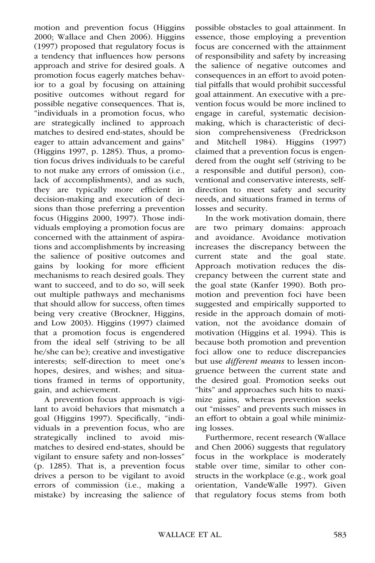motion and prevention focus (Higgins 2000; Wallace and Chen 2006). Higgins (1997) proposed that regulatory focus is a tendency that influences how persons approach and strive for desired goals. A promotion focus eagerly matches behavior to a goal by focusing on attaining positive outcomes without regard for possible negative consequences. That is, "individuals in a promotion focus, who are strategically inclined to approach matches to desired end-states, should be eager to attain advancement and gains" (Higgins 1997, p. 1285). Thus, a promotion focus drives individuals to be careful to not make any errors of omission (i.e., lack of accomplishments), and as such, they are typically more efficient in decision-making and execution of decisions than those preferring a prevention focus (Higgins 2000, 1997). Those individuals employing a promotion focus are concerned with the attainment of aspirations and accomplishments by increasing the salience of positive outcomes and gains by looking for more efficient mechanisms to reach desired goals. They want to succeed, and to do so, will seek out multiple pathways and mechanisms that should allow for success, often times being very creative (Brockner, Higgins, and Low 2003). Higgins (1997) claimed that a promotion focus is engendered from the ideal self (striving to be all he/she can be); creative and investigative interests; self-direction to meet one's hopes, desires, and wishes; and situations framed in terms of opportunity, gain, and achievement.

A prevention focus approach is vigilant to avoid behaviors that mismatch a goal (Higgins 1997). Specifically, "individuals in a prevention focus, who are strategically inclined to avoid mismatches to desired end-states, should be vigilant to ensure safety and non-losses" (p. 1285). That is, a prevention focus drives a person to be vigilant to avoid errors of commission (i.e., making a mistake) by increasing the salience of possible obstacles to goal attainment. In essence, those employing a prevention focus are concerned with the attainment of responsibility and safety by increasing the salience of negative outcomes and consequences in an effort to avoid potential pitfalls that would prohibit successful goal attainment. An executive with a prevention focus would be more inclined to engage in careful, systematic decisionmaking, which is characteristic of decision comprehensiveness (Fredrickson and Mitchell 1984). Higgins (1997) claimed that a prevention focus is engendered from the ought self (striving to be a responsible and dutiful person), conventional and conservative interests, selfdirection to meet safety and security needs, and situations framed in terms of losses and security.

In the work motivation domain, there are two primary domains: approach and avoidance. Avoidance motivation increases the discrepancy between the current state and the goal state. Approach motivation reduces the discrepancy between the current state and the goal state (Kanfer 1990). Both promotion and prevention foci have been suggested and empirically supported to reside in the approach domain of motivation, not the avoidance domain of motivation (Higgins et al. 1994). This is because both promotion and prevention foci allow one to reduce discrepancies but use *different means* to lessen incongruence between the current state and the desired goal. Promotion seeks out "hits" and approaches such hits to maximize gains, whereas prevention seeks out "misses" and prevents such misses in an effort to obtain a goal while minimizing losses.

Furthermore, recent research (Wallace and Chen 2006) suggests that regulatory focus in the workplace is moderately stable over time, similar to other constructs in the workplace (e.g., work goal orientation, VandeWalle 1997). Given that regulatory focus stems from both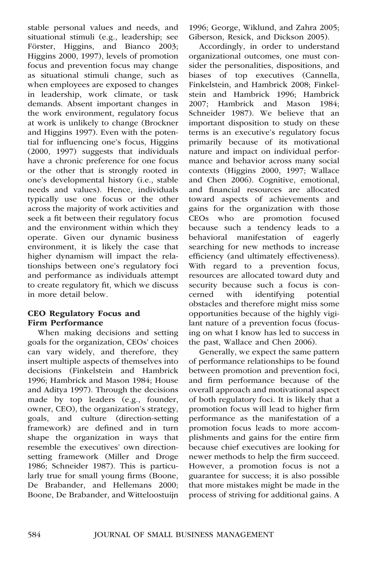stable personal values and needs, and situational stimuli (e.g., leadership; see Förster, Higgins, and Bianco 2003; Higgins 2000, 1997), levels of promotion focus and prevention focus may change as situational stimuli change, such as when employees are exposed to changes in leadership, work climate, or task demands. Absent important changes in the work environment, regulatory focus at work is unlikely to change (Brockner and Higgins 1997). Even with the potential for influencing one's focus, Higgins (2000, 1997) suggests that individuals have a chronic preference for one focus or the other that is strongly rooted in one's developmental history (i.e., stable needs and values). Hence, individuals typically use one focus or the other across the majority of work activities and seek a fit between their regulatory focus and the environment within which they operate. Given our dynamic business environment, it is likely the case that higher dynamism will impact the relationships between one's regulatory foci and performance as individuals attempt to create regulatory fit, which we discuss in more detail below.

#### CEO Regulatory Focus and Firm Performance

When making decisions and setting goals for the organization, CEOs' choices can vary widely, and therefore, they insert multiple aspects of themselves into decisions (Finkelstein and Hambrick 1996; Hambrick and Mason 1984; House and Aditya 1997). Through the decisions made by top leaders (e.g., founder, owner, CEO), the organization's strategy, goals, and culture (direction-setting framework) are defined and in turn shape the organization in ways that resemble the executives' own directionsetting framework (Miller and Droge 1986; Schneider 1987). This is particularly true for small young firms (Boone, De Brabander, and Hellemans 2000; Boone, De Brabander, and Witteloostuijn 1996; George, Wiklund, and Zahra 2005; Giberson, Resick, and Dickson 2005).

Accordingly, in order to understand organizational outcomes, one must consider the personalities, dispositions, and biases of top executives (Cannella, Finkelstein, and Hambrick 2008; Finkelstein and Hambrick 1996; Hambrick 2007; Hambrick and Mason 1984; Schneider 1987). We believe that an important disposition to study on these terms is an executive's regulatory focus primarily because of its motivational nature and impact on individual performance and behavior across many social contexts (Higgins 2000, 1997; Wallace and Chen 2006). Cognitive, emotional, and financial resources are allocated toward aspects of achievements and gains for the organization with those CEOs who are promotion focused because such a tendency leads to a behavioral manifestation of eagerly searching for new methods to increase efficiency (and ultimately effectiveness). With regard to a prevention focus, resources are allocated toward duty and security because such a focus is concerned with identifying potential obstacles and therefore might miss some opportunities because of the highly vigilant nature of a prevention focus (focusing on what I know has led to success in the past, Wallace and Chen 2006).

Generally, we expect the same pattern of performance relationships to be found between promotion and prevention foci, and firm performance because of the overall approach and motivational aspect of both regulatory foci. It is likely that a promotion focus will lead to higher firm performance as the manifestation of a promotion focus leads to more accomplishments and gains for the entire firm because chief executives are looking for newer methods to help the firm succeed. However, a promotion focus is not a guarantee for success; it is also possible that more mistakes might be made in the process of striving for additional gains. A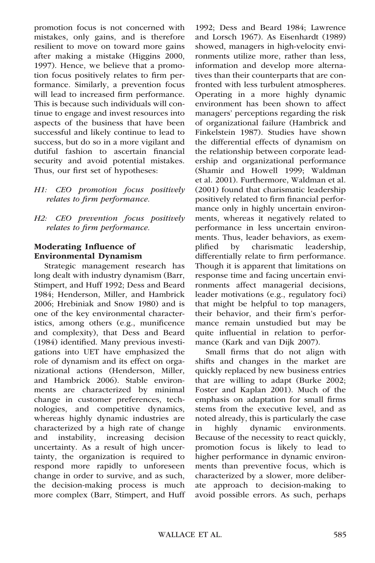promotion focus is not concerned with mistakes, only gains, and is therefore resilient to move on toward more gains after making a mistake (Higgins 2000, 1997). Hence, we believe that a promotion focus positively relates to firm performance. Similarly, a prevention focus will lead to increased firm performance. This is because such individuals will continue to engage and invest resources into aspects of the business that have been successful and likely continue to lead to success, but do so in a more vigilant and dutiful fashion to ascertain financial security and avoid potential mistakes. Thus, our first set of hypotheses:

- *H1: CEO promotion focus positively relates to firm performance.*
- *H2: CEO prevention focus positively relates to firm performance.*

#### Moderating Influence of Environmental Dynamism

Strategic management research has long dealt with industry dynamism (Barr, Stimpert, and Huff 1992; Dess and Beard 1984; Henderson, Miller, and Hambrick 2006; Hrebiniak and Snow 1980) and is one of the key environmental characteristics, among others (e.g., munificence and complexity), that Dess and Beard (1984) identified. Many previous investigations into UET have emphasized the role of dynamism and its effect on organizational actions (Henderson, Miller, and Hambrick 2006). Stable environments are characterized by minimal change in customer preferences, technologies, and competitive dynamics, whereas highly dynamic industries are characterized by a high rate of change and instability, increasing decision uncertainty. As a result of high uncertainty, the organization is required to respond more rapidly to unforeseen change in order to survive, and as such, the decision-making process is much more complex (Barr, Stimpert, and Huff 1992; Dess and Beard 1984; Lawrence and Lorsch 1967). As Eisenhardt (1989) showed, managers in high-velocity environments utilize more, rather than less, information and develop more alternatives than their counterparts that are confronted with less turbulent atmospheres. Operating in a more highly dynamic environment has been shown to affect managers' perceptions regarding the risk of organizational failure (Hambrick and Finkelstein 1987). Studies have shown the differential effects of dynamism on the relationship between corporate leadership and organizational performance (Shamir and Howell 1999; Waldman et al. 2001). Furthermore, Waldman et al. (2001) found that charismatic leadership positively related to firm financial performance only in highly uncertain environments, whereas it negatively related to performance in less uncertain environments. Thus, leader behaviors, as exemplified by charismatic leadership, differentially relate to firm performance. Though it is apparent that limitations on response time and facing uncertain environments affect managerial decisions, leader motivations (e.g., regulatory foci) that might be helpful to top managers, their behavior, and their firm's performance remain unstudied but may be quite influential in relation to performance (Kark and van Dijk 2007).

Small firms that do not align with shifts and changes in the market are quickly replaced by new business entries that are willing to adapt (Burke 2002; Foster and Kaplan 2001). Much of the emphasis on adaptation for small firms stems from the executive level, and as noted already, this is particularly the case in highly dynamic environments. Because of the necessity to react quickly, promotion focus is likely to lead to higher performance in dynamic environments than preventive focus, which is characterized by a slower, more deliberate approach to decision-making to avoid possible errors. As such, perhaps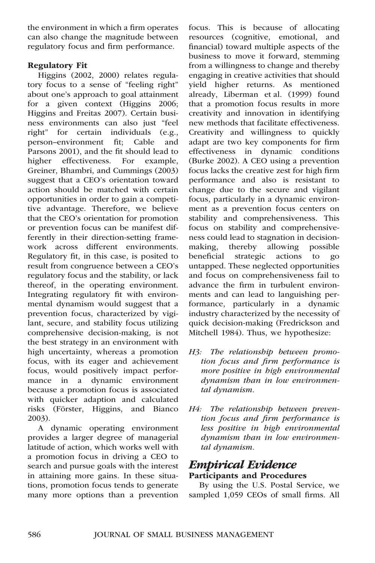the environment in which a firm operates can also change the magnitude between regulatory focus and firm performance.

#### Regulatory Fit

Higgins (2002, 2000) relates regulatory focus to a sense of "feeling right" about one's approach to goal attainment for a given context (Higgins 2006; Higgins and Freitas 2007). Certain business environments can also just "feel right" for certain individuals (e.g., person–environment fit; Cable and Parsons 2001), and the fit should lead to higher effectiveness. For example, Greiner, Bhambri, and Cummings (2003) suggest that a CEO's orientation toward action should be matched with certain opportunities in order to gain a competitive advantage. Therefore, we believe that the CEO's orientation for promotion or prevention focus can be manifest differently in their direction-setting framework across different environments. Regulatory fit, in this case, is posited to result from congruence between a CEO's regulatory focus and the stability, or lack thereof, in the operating environment. Integrating regulatory fit with environmental dynamism would suggest that a prevention focus, characterized by vigilant, secure, and stability focus utilizing comprehensive decision-making, is not the best strategy in an environment with high uncertainty, whereas a promotion focus, with its eager and achievement focus, would positively impact performance in a dynamic environment because a promotion focus is associated with quicker adaption and calculated risks (Förster, Higgins, and Bianco 2003).

A dynamic operating environment provides a larger degree of managerial latitude of action, which works well with a promotion focus in driving a CEO to search and pursue goals with the interest in attaining more gains. In these situations, promotion focus tends to generate many more options than a prevention focus. This is because of allocating resources (cognitive, emotional, and financial) toward multiple aspects of the business to move it forward, stemming from a willingness to change and thereby engaging in creative activities that should yield higher returns. As mentioned already, Liberman et al. (1999) found that a promotion focus results in more creativity and innovation in identifying new methods that facilitate effectiveness. Creativity and willingness to quickly adapt are two key components for firm effectiveness in dynamic conditions (Burke 2002). A CEO using a prevention focus lacks the creative zest for high firm performance and also is resistant to change due to the secure and vigilant focus, particularly in a dynamic environment as a prevention focus centers on stability and comprehensiveness. This focus on stability and comprehensiveness could lead to stagnation in decisionmaking, thereby allowing possible beneficial strategic actions to go untapped. These neglected opportunities and focus on comprehensiveness fail to advance the firm in turbulent environments and can lead to languishing performance, particularly in a dynamic industry characterized by the necessity of quick decision-making (Fredrickson and Mitchell 1984). Thus, we hypothesize:

- *H3: The relationship between promotion focus and firm performance is more positive in high environmental dynamism than in low environmental dynamism.*
- *H4: The relationship between prevention focus and firm performance is less positive in high environmental dynamism than in low environmental dynamism.*

#### *Empirical Evidence* Participants and Procedures

By using the U.S. Postal Service, we sampled 1,059 CEOs of small firms. All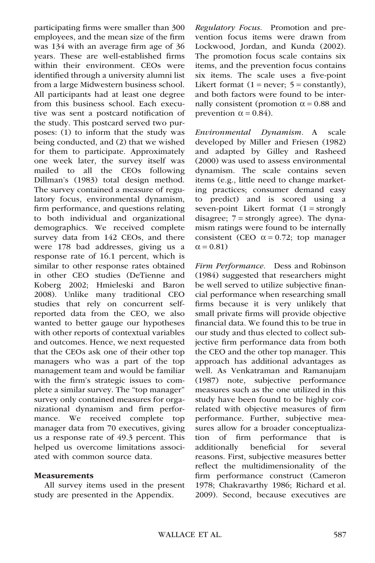participating firms were smaller than 300 employees, and the mean size of the firm was 134 with an average firm age of 36 years. These are well-established firms within their environment. CEOs were identified through a university alumni list from a large Midwestern business school. All participants had at least one degree from this business school. Each executive was sent a postcard notification of the study. This postcard served two purposes: (1) to inform that the study was being conducted, and (2) that we wished for them to participate. Approximately one week later, the survey itself was mailed to all the CEOs following Dillman's (1983) total design method. The survey contained a measure of regulatory focus, environmental dynamism, firm performance, and questions relating to both individual and organizational demographics. We received complete survey data from 142 CEOs, and there were 178 bad addresses, giving us a response rate of 16.1 percent, which is similar to other response rates obtained in other CEO studies (DeTienne and Koberg 2002; Hmieleski and Baron 2008). Unlike many traditional CEO studies that rely on concurrent selfreported data from the CEO, we also wanted to better gauge our hypotheses with other reports of contextual variables and outcomes. Hence, we next requested that the CEOs ask one of their other top managers who was a part of the top management team and would be familiar with the firm's strategic issues to complete a similar survey. The "top manager" survey only contained measures for organizational dynamism and firm performance. We received complete top manager data from 70 executives, giving us a response rate of 49.3 percent. This helped us overcome limitations associated with common source data.

#### Measurements

All survey items used in the present study are presented in the Appendix.

*Regulatory Focus.* Promotion and prevention focus items were drawn from Lockwood, Jordan, and Kunda (2002). The promotion focus scale contains six items, and the prevention focus contains six items. The scale uses a five-point Likert format  $(1 = never; 5 = constantly)$ , and both factors were found to be internally consistent (promotion  $\alpha$  = 0.88 and prevention  $\alpha = 0.84$ ).

*Environmental Dynamism.* A scale developed by Miller and Friesen (1982) and adapted by Gilley and Rasheed (2000) was used to assess environmental dynamism. The scale contains seven items (e.g., little need to change marketing practices; consumer demand easy to predict) and is scored using a seven-point Likert format  $(1 =$  strongly disagree; 7 = strongly agree). The dynamism ratings were found to be internally consistent (CEO  $\alpha = 0.72$ ; top manager  $\alpha$  = 0.81)

*Firm Performance.* Dess and Robinson (1984) suggested that researchers might be well served to utilize subjective financial performance when researching small firms because it is very unlikely that small private firms will provide objective financial data. We found this to be true in our study and thus elected to collect subjective firm performance data from both the CEO and the other top manager. This approach has additional advantages as well. As Venkatraman and Ramanujam (1987) note, subjective performance measures such as the one utilized in this study have been found to be highly correlated with objective measures of firm performance. Further, subjective measures allow for a broader conceptualization of firm performance that is additionally beneficial for several reasons. First, subjective measures better reflect the multidimensionality of the firm performance construct (Cameron 1978; Chakravarthy 1986; Richard et al. 2009). Second, because executives are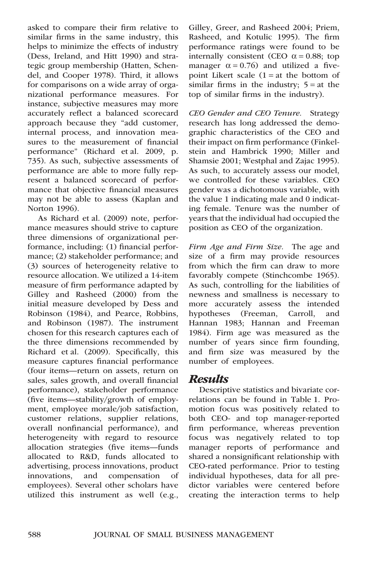asked to compare their firm relative to similar firms in the same industry, this helps to minimize the effects of industry (Dess, Ireland, and Hitt 1990) and strategic group membership (Hatten, Schendel, and Cooper 1978). Third, it allows for comparisons on a wide array of organizational performance measures. For instance, subjective measures may more accurately reflect a balanced scorecard approach because they "add customer, internal process, and innovation measures to the measurement of financial performance" (Richard et al. 2009, p. 735). As such, subjective assessments of performance are able to more fully represent a balanced scorecard of performance that objective financial measures may not be able to assess (Kaplan and Norton 1996).

As Richard et al. (2009) note, performance measures should strive to capture three dimensions of organizational performance, including: (1) financial performance; (2) stakeholder performance; and (3) sources of heterogeneity relative to resource allocation. We utilized a 14-item measure of firm performance adapted by Gilley and Rasheed (2000) from the initial measure developed by Dess and Robinson (1984), and Pearce, Robbins, and Robinson (1987). The instrument chosen for this research captures each of the three dimensions recommended by Richard et al. (2009). Specifically, this measure captures financial performance (four items—return on assets, return on sales, sales growth, and overall financial performance), stakeholder performance (five items—stability/growth of employment, employee morale/job satisfaction, customer relations, supplier relations, overall nonfinancial performance), and heterogeneity with regard to resource allocation strategies (five items—funds allocated to R&D, funds allocated to advertising, process innovations, product innovations, and compensation of employees). Several other scholars have utilized this instrument as well (e.g., Gilley, Greer, and Rasheed 2004; Priem, Rasheed, and Kotulic 1995). The firm performance ratings were found to be internally consistent (CEO  $\alpha = 0.88$ ; top manager  $\alpha = 0.76$  and utilized a fivepoint Likert scale  $(1 = at the bottom of)$ similar firms in the industry;  $5 = at$  the top of similar firms in the industry).

*CEO Gender and CEO Tenure.* Strategy research has long addressed the demographic characteristics of the CEO and their impact on firm performance (Finkelstein and Hambrick 1990; Miller and Shamsie 2001; Westphal and Zajac 1995). As such, to accurately assess our model, we controlled for these variables. CEO gender was a dichotomous variable, with the value 1 indicating male and 0 indicating female. Tenure was the number of years that the individual had occupied the position as CEO of the organization.

*Firm Age and Firm Size.* The age and size of a firm may provide resources from which the firm can draw to more favorably compete (Stinchcombe 1965). As such, controlling for the liabilities of newness and smallness is necessary to more accurately assess the intended hypotheses (Freeman, Carroll, and Hannan 1983; Hannan and Freeman 1984). Firm age was measured as the number of years since firm founding, and firm size was measured by the number of employees.

## *Results*

Descriptive statistics and bivariate correlations can be found in Table 1. Promotion focus was positively related to both CEO- and top manager-reported firm performance, whereas prevention focus was negatively related to top manager reports of performance and shared a nonsignificant relationship with CEO-rated performance. Prior to testing individual hypotheses, data for all predictor variables were centered before creating the interaction terms to help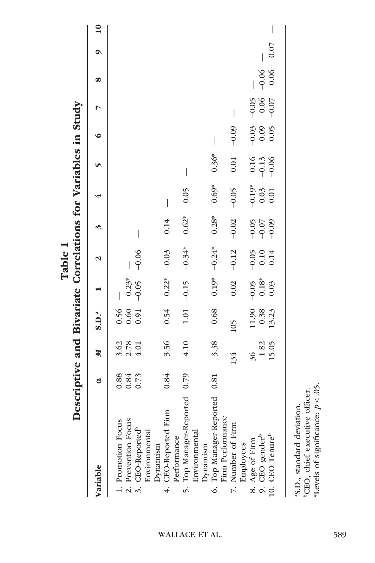|                                                           | Descriptive and Bivariate Correlations for Variables in Study |                          |                                                       |                          |                         |                               |                                      |                              |                                          |         |      |                 |
|-----------------------------------------------------------|---------------------------------------------------------------|--------------------------|-------------------------------------------------------|--------------------------|-------------------------|-------------------------------|--------------------------------------|------------------------------|------------------------------------------|---------|------|-----------------|
| Variable                                                  | ಠ                                                             | M                        | $S.D.^4$                                              |                          | $\mathbf{\mathsf{N}}$   | S                             | 4                                    | v                            |                                          | ೲ       | ໑    | $\overline{10}$ |
| 1. Promotion Focus                                        |                                                               |                          |                                                       |                          |                         |                               |                                      |                              |                                          |         |      |                 |
| 2. Prevention Focus                                       | $0.88$<br>$0.84$<br>$0.73$                                    | $3.8$<br>$2.8$<br>$4.01$ | $0.56$<br>0.60<br>0.91                                |                          |                         |                               |                                      |                              |                                          |         |      |                 |
| 3. CEO-Reported <sup>b</sup>                              |                                                               |                          |                                                       | $0.23*$                  | $-0.06$                 |                               |                                      |                              |                                          |         |      |                 |
| Environmental                                             |                                                               |                          |                                                       |                          |                         |                               |                                      |                              |                                          |         |      |                 |
| Dynamism                                                  |                                                               |                          |                                                       |                          |                         |                               |                                      |                              |                                          |         |      |                 |
| 4. CEO-Reported Firm                                      | 0.84                                                          | 3.56                     | 0.54                                                  | $0.22*$                  | $-0.03$                 | 0.14                          |                                      |                              |                                          |         |      |                 |
| Performance                                               |                                                               |                          |                                                       |                          |                         |                               |                                      |                              |                                          |         |      |                 |
| 5. Top Manager-Reported                                   | 0.79                                                          | 4.10                     | $1.01$                                                | $-0.15$                  | $-0.34*$                | $0.62*$                       | 0.05                                 |                              |                                          |         |      |                 |
| Environmental                                             |                                                               |                          |                                                       |                          |                         |                               |                                      |                              |                                          |         |      |                 |
| Dynamism                                                  |                                                               |                          |                                                       |                          |                         |                               |                                      |                              |                                          |         |      |                 |
| 6. Top Manager-Reported                                   | 0.81                                                          | 3.38                     | 0.68                                                  | $0.19*$                  | $-0.24*$                | $0.28*$                       | $0.69*$                              | $0.36*$                      |                                          |         |      |                 |
| Firm Performance                                          |                                                               |                          |                                                       |                          |                         |                               |                                      |                              |                                          |         |      |                 |
| 7. Number of Firm                                         |                                                               | 134                      | 105                                                   | 0.02                     | $-0.12$                 | $-0.02$                       | $-0.05$                              | 0.01                         | $-0.09$                                  |         |      |                 |
| Employees<br>8. Age of Firm                               |                                                               |                          |                                                       |                          |                         |                               |                                      |                              |                                          |         |      |                 |
|                                                           |                                                               | 36                       |                                                       |                          |                         |                               |                                      | $0.16$<br>$-0.13$<br>$-0.06$ | $-0.03 -0.05$<br>0.09 0.06<br>0.05 -0.07 |         |      |                 |
| 9. CEO gender <sup>b</sup><br>10. CEO Tenure <sup>b</sup> |                                                               |                          |                                                       |                          | $-0.16$<br>0.10<br>0.14 | $-0.05$<br>$-0.07$<br>$-0.09$ | $-0.19$ <sup>*</sup><br>0.03<br>0.01 |                              |                                          | $-0.06$ |      |                 |
|                                                           |                                                               | $1.82$<br>15.05          | $\begin{array}{c} 11.90 \\ 0.38 \\ 13.23 \end{array}$ | $-0.05$<br>0.18*<br>0.03 |                         |                               |                                      |                              |                                          | 0.06    | 0.07 |                 |
|                                                           |                                                               |                          |                                                       |                          |                         |                               |                                      |                              |                                          |         |      |                 |

Table 1

WALLACE ET AL. 589

aS.D., standard deviation. bCEO, chief executive officer. \*Levels of significance:

*p* < .05.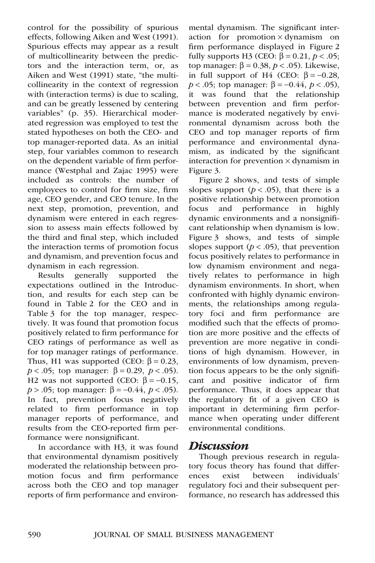control for the possibility of spurious effects, following Aiken and West (1991). Spurious effects may appear as a result of multicollinearity between the predictors and the interaction term, or, as Aiken and West (1991) state, "the multicollinearity in the context of regression with (interaction terms) is due to scaling, and can be greatly lessened by centering variables" (p. 35). Hierarchical moderated regression was employed to test the stated hypotheses on both the CEO- and top manager-reported data. As an initial step, four variables common to research on the dependent variable of firm performance (Westphal and Zajac 1995) were included as controls: the number of employees to control for firm size, firm age, CEO gender, and CEO tenure. In the next step, promotion, prevention, and dynamism were entered in each regression to assess main effects followed by the third and final step, which included the interaction terms of promotion focus and dynamism, and prevention focus and dynamism in each regression.

Results generally supported the expectations outlined in the Introduction, and results for each step can be found in Table 2 for the CEO and in Table 3 for the top manager, respectively. It was found that promotion focus positively related to firm performance for CEO ratings of performance as well as for top manager ratings of performance. Thus, H1 was supported (CEO:  $\beta = 0.23$ ,  $p < .05$ ; top manager:  $\beta = 0.29$ ,  $p < .05$ ). H2 was not supported (CEO:  $\beta = -0.15$ ,  $p > .05$ ; top manager:  $\beta = -0.44$ ,  $p < .05$ ). In fact, prevention focus negatively related to firm performance in top manager reports of performance, and results from the CEO-reported firm performance were nonsignificant.

In accordance with H3, it was found that environmental dynamism positively moderated the relationship between promotion focus and firm performance across both the CEO and top manager reports of firm performance and environ-

mental dynamism. The significant interaction for promotion  $\times$  dynamism on firm performance displayed in Figure 2 fully supports H3 (CEO:  $\beta = 0.21$ ,  $p < .05$ ; top manager:  $\beta$  = 0.38, *p* < .05). Likewise, in full support of H4 (CEO:  $\beta = -0.28$ ,  $p < .05$ ; top manager:  $\beta = -0.44$ ,  $p < .05$ ), it was found that the relationship between prevention and firm performance is moderated negatively by environmental dynamism across both the CEO and top manager reports of firm performance and environmental dynamism, as indicated by the significant interaction for prevention  $\times$  dynamism in Figure 3.

Figure 2 shows, and tests of simple slopes support  $(p < .05)$ , that there is a positive relationship between promotion focus and performance in highly dynamic environments and a nonsignificant relationship when dynamism is low. Figure 3 shows, and tests of simple slopes support  $(p < .05)$ , that prevention focus positively relates to performance in low dynamism environment and negatively relates to performance in high dynamism environments. In short, when confronted with highly dynamic environments, the relationships among regulatory foci and firm performance are modified such that the effects of promotion are more positive and the effects of prevention are more negative in conditions of high dynamism. However, in environments of low dynamism, prevention focus appears to be the only significant and positive indicator of firm performance. Thus, it does appear that the regulatory fit of a given CEO is important in determining firm performance when operating under different environmental conditions.

#### *Discussion*

Though previous research in regulatory focus theory has found that differences exist between individuals' regulatory foci and their subsequent performance, no research has addressed this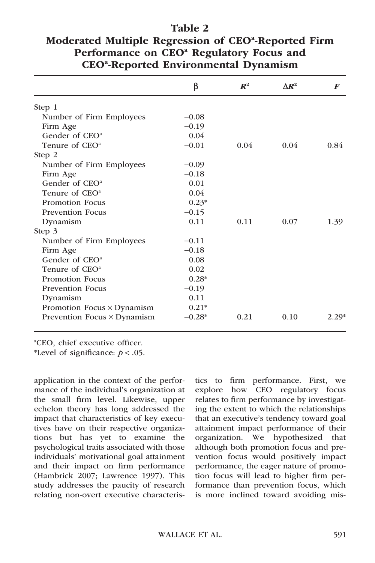| Table 2                                                          |
|------------------------------------------------------------------|
| Moderated Multiple Regression of CEO <sup>a</sup> -Reported Firm |
| Performance on CEO <sup>a</sup> Regulatory Focus and             |
| <b>CEO<sup>a</sup>-Reported Environmental Dynamism</b>           |

|                                    | β        | $\mathbb{R}^2$ | $\Delta R^2$ | F       |
|------------------------------------|----------|----------------|--------------|---------|
| Step 1                             |          |                |              |         |
| Number of Firm Employees           | $-0.08$  |                |              |         |
| Firm Age                           | $-0.19$  |                |              |         |
| Gender of $CEOa$                   | 0.04     |                |              |         |
| Tenure of CEO <sup>a</sup>         | $-0.01$  | 0.04           | 0.04         | 0.84    |
| Step 2                             |          |                |              |         |
| Number of Firm Employees           | $-0.09$  |                |              |         |
| Firm Age                           | $-0.18$  |                |              |         |
| Gender of CEO <sup>a</sup>         | 0.01     |                |              |         |
| Tenure of CEO <sup>a</sup>         | 0.04     |                |              |         |
| <b>Promotion Focus</b>             | $0.23*$  |                |              |         |
| <b>Prevention Focus</b>            | $-0.15$  |                |              |         |
| Dynamism                           | 0.11     | 0.11           | 0.07         | 1.39    |
| Step 3                             |          |                |              |         |
| Number of Firm Employees           | $-0.11$  |                |              |         |
| Firm Age                           | $-0.18$  |                |              |         |
| Gender of $CEOa$                   | 0.08     |                |              |         |
| Tenure of CEO <sup>a</sup>         | 0.02     |                |              |         |
| <b>Promotion Focus</b>             | $0.28*$  |                |              |         |
| <b>Prevention Focus</b>            | $-0.19$  |                |              |         |
| Dynamism                           | 0.11     |                |              |         |
| Promotion Focus $\times$ Dynamism  | $0.21*$  |                |              |         |
| Prevention Focus $\times$ Dynamism | $-0.28*$ | 0.21           | 0.10         | $2.29*$ |

a CEO, chief executive officer.

\*Level of significance: *p* < .05.

application in the context of the performance of the individual's organization at the small firm level. Likewise, upper echelon theory has long addressed the impact that characteristics of key executives have on their respective organizations but has yet to examine the psychological traits associated with those individuals' motivational goal attainment and their impact on firm performance (Hambrick 2007; Lawrence 1997). This study addresses the paucity of research relating non-overt executive characteristics to firm performance. First, we explore how CEO regulatory focus relates to firm performance by investigating the extent to which the relationships that an executive's tendency toward goal attainment impact performance of their organization. We hypothesized that although both promotion focus and prevention focus would positively impact performance, the eager nature of promotion focus will lead to higher firm performance than prevention focus, which is more inclined toward avoiding mis-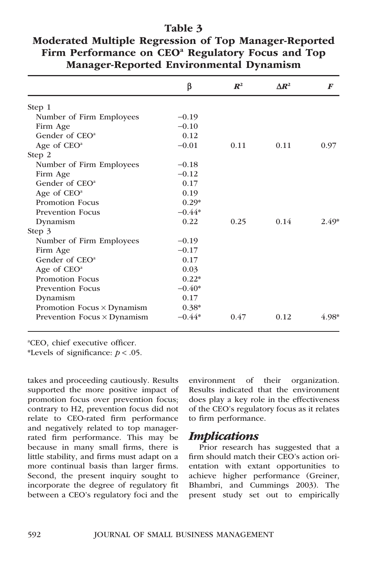### Table 3

|                                   | β        | $\mathbb{R}^2$ | $\Delta R^2$ | F       |
|-----------------------------------|----------|----------------|--------------|---------|
| Step 1                            |          |                |              |         |
| Number of Firm Employees          | $-0.19$  |                |              |         |
| Firm Age                          | $-0.10$  |                |              |         |
| Gender of CEO <sup>a</sup>        | 0.12     |                |              |         |
| Age of $CEOa$                     | $-0.01$  | 0.11           | 0.11         | 0.97    |
| Step 2                            |          |                |              |         |
| Number of Firm Employees          | $-0.18$  |                |              |         |
| Firm Age                          | $-0.12$  |                |              |         |
| Gender of CEO <sup>a</sup>        | 0.17     |                |              |         |
| Age of $CEOa$                     | 0.19     |                |              |         |
| <b>Promotion Focus</b>            | $0.29*$  |                |              |         |
| <b>Prevention Focus</b>           | $-0.44*$ |                |              |         |
| Dynamism                          | 0.22     | 0.25           | 0.14         | $2.49*$ |
| Step 3                            |          |                |              |         |
| Number of Firm Employees          | $-0.19$  |                |              |         |
| Firm Age                          | $-0.17$  |                |              |         |
| Gender of CEO <sup>a</sup>        | 0.17     |                |              |         |
| Age of CEO <sup>a</sup>           | 0.03     |                |              |         |
| <b>Promotion Focus</b>            | $0.22*$  |                |              |         |
| <b>Prevention Focus</b>           | $-0.40*$ |                |              |         |
| Dynamism                          | 0.17     |                |              |         |
| Promotion Focus $\times$ Dynamism | $0.38*$  |                |              |         |
| Prevention Focus × Dynamism       | $-0.44*$ | 0.47           | 0.12         | 4.98*   |

Moderated Multiple Regression of Top Manager-Reported Firm Performance on CEO<sup>a</sup> Regulatory Focus and Top Manager-Reported Environmental Dynamism

a CEO, chief executive officer.

\*Levels of significance: *p* < .05.

takes and proceeding cautiously. Results supported the more positive impact of promotion focus over prevention focus; contrary to H2, prevention focus did not relate to CEO-rated firm performance and negatively related to top managerrated firm performance. This may be because in many small firms, there is little stability, and firms must adapt on a more continual basis than larger firms. Second, the present inquiry sought to incorporate the degree of regulatory fit between a CEO's regulatory foci and the environment of their organization. Results indicated that the environment does play a key role in the effectiveness of the CEO's regulatory focus as it relates to firm performance.

### *Implications*

Prior research has suggested that a firm should match their CEO's action orientation with extant opportunities to achieve higher performance (Greiner, Bhambri, and Cummings 2003). The present study set out to empirically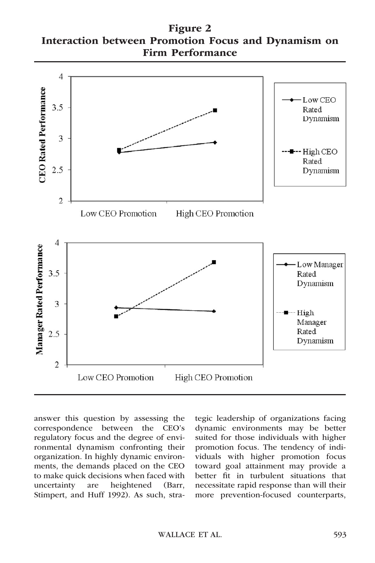Figure 2 Interaction between Promotion Focus and Dynamism on Firm Performance



answer this question by assessing the correspondence between the CEO's regulatory focus and the degree of environmental dynamism confronting their organization. In highly dynamic environments, the demands placed on the CEO to make quick decisions when faced with uncertainty are heightened (Barr, Stimpert, and Huff 1992). As such, strategic leadership of organizations facing dynamic environments may be better suited for those individuals with higher promotion focus. The tendency of individuals with higher promotion focus toward goal attainment may provide a better fit in turbulent situations that necessitate rapid response than will their more prevention-focused counterparts,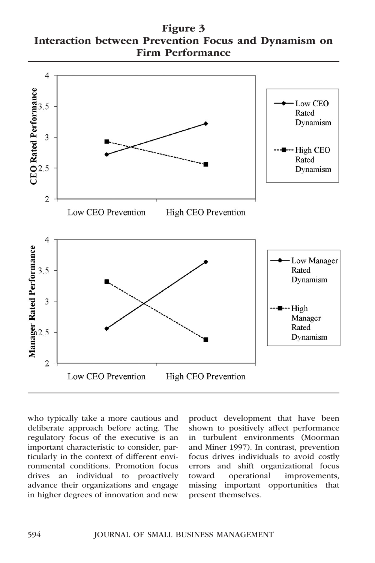Figure 3 Interaction between Prevention Focus and Dynamism on Firm Performance



who typically take a more cautious and deliberate approach before acting. The regulatory focus of the executive is an important characteristic to consider, particularly in the context of different environmental conditions. Promotion focus drives an individual to proactively advance their organizations and engage in higher degrees of innovation and new

product development that have been shown to positively affect performance in turbulent environments (Moorman and Miner 1997). In contrast, prevention focus drives individuals to avoid costly errors and shift organizational focus toward operational improvements, missing important opportunities that present themselves.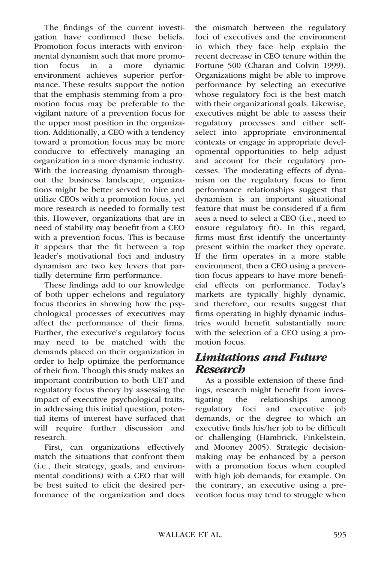The findings of the current investigation have confirmed these beliefs. Promotion focus interacts with environmental dynamism such that more promotion focus in a more dynamic environment achieves superior performance. These results support the notion that the emphasis stemming from a promotion focus may be preferable to the vigilant nature of a prevention focus for the upper most position in the organization. Additionally, a CEO with a tendency toward a promotion focus may be more conducive to effectively managing an organization in a more dynamic industry. With the increasing dynamism throughout the business landscape, organizations might be better served to hire and utilize CEOs with a promotion focus, yet more research is needed to formally test this. However, organizations that are in need of stability may benefit from a CEO with a prevention focus. This is because it appears that the fit between a top leader's motivational foci and industry dynamism are two key levers that partially determine firm performance.

These findings add to our knowledge of both upper echelons and regulatory focus theories in showing how the psychological processes of executives may affect the performance of their firms. Further, the executive's regulatory focus may need to be matched with the demands placed on their organization in order to help optimize the performance of their firm. Though this study makes an important contribution to both UET and regulatory focus theory by assessing the impact of executive psychological traits, in addressing this initial question, potential items of interest have surfaced that will require further discussion and research.

First, can organizations effectively match the situations that confront them (i.e., their strategy, goals, and environmental conditions) with a CEO that will be best suited to elicit the desired performance of the organization and does

the mismatch between the regulatory foci of executives and the environment in which they face help explain the recent decrease in CEO tenure within the Fortune 500 (Charan and Colvin 1999). Organizations might be able to improve performance by selecting an executive whose regulatory foci is the best match with their organizational goals. Likewise, executives might be able to assess their regulatory processes and either selfselect into appropriate environmental contexts or engage in appropriate developmental opportunities to help adjust and account for their regulatory processes. The moderating effects of dynamism on the regulatory focus to firm performance relationships suggest that dynamism is an important situational feature that must be considered if a firm sees a need to select a CEO (i.e., need to ensure regulatory fit). In this regard, firms must first identify the uncertainty present within the market they operate. If the firm operates in a more stable environment, then a CEO using a prevention focus appears to have more beneficial effects on performance. Today's markets are typically highly dynamic, and therefore, our results suggest that firms operating in highly dynamic industries would benefit substantially more with the selection of a CEO using a promotion focus.

## *Limitations and Future Research*

As a possible extension of these findings, research might benefit from investigating the relationships among regulatory foci and executive job demands, or the degree to which an executive finds his/her job to be difficult or challenging (Hambrick, Finkelstein, and Mooney 2005). Strategic decisionmaking may be enhanced by a person with a promotion focus when coupled with high job demands, for example. On the contrary, an executive using a prevention focus may tend to struggle when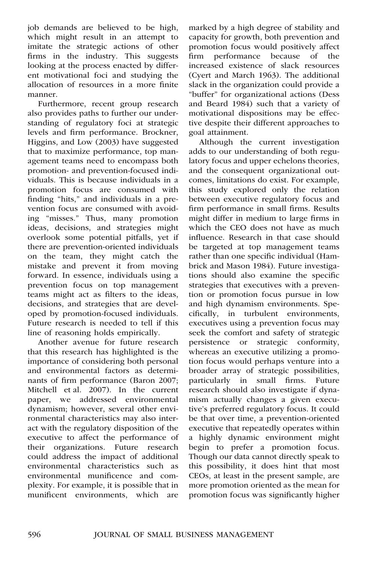job demands are believed to be high, which might result in an attempt to imitate the strategic actions of other firms in the industry. This suggests looking at the process enacted by different motivational foci and studying the allocation of resources in a more finite manner.

Furthermore, recent group research also provides paths to further our understanding of regulatory foci at strategic levels and firm performance. Brockner, Higgins, and Low (2003) have suggested that to maximize performance, top management teams need to encompass both promotion- and prevention-focused individuals. This is because individuals in a promotion focus are consumed with finding "hits," and individuals in a prevention focus are consumed with avoiding "misses." Thus, many promotion ideas, decisions, and strategies might overlook some potential pitfalls, yet if there are prevention-oriented individuals on the team, they might catch the mistake and prevent it from moving forward. In essence, individuals using a prevention focus on top management teams might act as filters to the ideas, decisions, and strategies that are developed by promotion-focused individuals. Future research is needed to tell if this line of reasoning holds empirically.

Another avenue for future research that this research has highlighted is the importance of considering both personal and environmental factors as determinants of firm performance (Baron 2007; Mitchell et al. 2007). In the current paper, we addressed environmental dynamism; however, several other environmental characteristics may also interact with the regulatory disposition of the executive to affect the performance of their organizations. Future research could address the impact of additional environmental characteristics such as environmental munificence and complexity. For example, it is possible that in munificent environments, which are

marked by a high degree of stability and capacity for growth, both prevention and promotion focus would positively affect firm performance because of the increased existence of slack resources (Cyert and March 1963). The additional slack in the organization could provide a "buffer" for organizational actions (Dess and Beard 1984) such that a variety of motivational dispositions may be effective despite their different approaches to goal attainment.

Although the current investigation adds to our understanding of both regulatory focus and upper echelons theories, and the consequent organizational outcomes, limitations do exist. For example, this study explored only the relation between executive regulatory focus and firm performance in small firms. Results might differ in medium to large firms in which the CEO does not have as much influence. Research in that case should be targeted at top management teams rather than one specific individual (Hambrick and Mason 1984). Future investigations should also examine the specific strategies that executives with a prevention or promotion focus pursue in low and high dynamism environments. Specifically, in turbulent environments, executives using a prevention focus may seek the comfort and safety of strategic persistence or strategic conformity, whereas an executive utilizing a promotion focus would perhaps venture into a broader array of strategic possibilities, particularly in small firms. Future research should also investigate if dynamism actually changes a given executive's preferred regulatory focus. It could be that over time, a prevention-oriented executive that repeatedly operates within a highly dynamic environment might begin to prefer a promotion focus. Though our data cannot directly speak to this possibility, it does hint that most CEOs, at least in the present sample, are more promotion oriented as the mean for promotion focus was significantly higher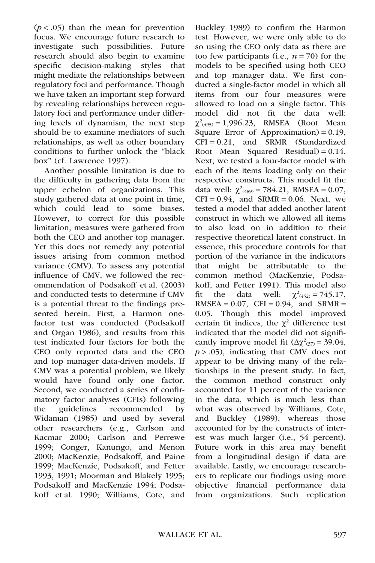$(p < .05)$  than the mean for prevention focus. We encourage future research to investigate such possibilities. Future research should also begin to examine specific decision-making styles that might mediate the relationships between regulatory foci and performance. Though we have taken an important step forward by revealing relationships between regulatory foci and performance under differing levels of dynamism, the next step should be to examine mediators of such relationships, as well as other boundary conditions to further unlock the "black box" (cf. Lawrence 1997).

Another possible limitation is due to the difficulty in gathering data from the upper echelon of organizations. This study gathered data at one point in time, which could lead to some biases. However, to correct for this possible limitation, measures were gathered from both the CEO and another top manager. Yet this does not remedy any potential issues arising from common method variance (CMV). To assess any potential influence of CMV, we followed the recommendation of Podsakoff et al. (2003) and conducted tests to determine if CMV is a potential threat to the findings presented herein. First, a Harmon onefactor test was conducted (Podsakoff and Organ 1986), and results from this test indicated four factors for both the CEO only reported data and the CEO and top manager data-driven models. If CMV was a potential problem, we likely would have found only one factor. Second, we conducted a series of confirmatory factor analyses (CFIs) following the guidelines recommended by Widaman (1985) and used by several other researchers (e.g., Carlson and Kacmar 2000; Carlson and Perrewe 1999; Conger, Kanungo, and Menon 2000; MacKenzie, Podsakoff, and Paine 1999; MacKenzie, Podsakoff, and Fetter 1993, 1991; Moorman and Blakely 1995; Podsakoff and MacKenzie 1994; Podsakoff et al. 1990; Williams, Cote, and

Buckley 1989) to confirm the Harmon test. However, we were only able to do so using the CEO only data as there are too few participants (i.e.,  $n = 70$ ) for the models to be specified using both CEO and top manager data. We first conducted a single-factor model in which all items from our four measures were allowed to load on a single factor. This model did not fit the data well:  $\chi^2_{(495)} = 1,996.23$ , RMSEA (Root Mean Square Error of Approximation) =  $0.19$ , CFI = 0.21, and SRMR (Standardized Root Mean Squared Residual $) = 0.14$ . Next, we tested a four-factor model with each of the items loading only on their respective constructs. This model fit the data well:  $\chi^2_{(489)} = 784.21$ , RMSEA = 0.07,  $CFI = 0.94$ , and  $SRMR = 0.06$ . Next, we tested a model that added another latent construct in which we allowed all items to also load on in addition to their respective theoretical latent construct. In essence, this procedure controls for that portion of the variance in the indicators that might be attributable to the common method (MacKenzie, Podsakoff, and Fetter 1991). This model also fit the data well:  $\chi^2_{(452)} = 745.17$ ,  $RMSEA = 0.07$ ,  $CFI = 0.94$ , and  $SRMR =$ 0.05. Though this model improved certain fit indices, the  $\chi^2$  difference test indicated that the model did not significantly improve model fit  $(\Delta \chi^2_{(37)} = 39.04$ , *p* > .05), indicating that CMV does not appear to be driving many of the relationships in the present study. In fact, the common method construct only accounted for 11 percent of the variance in the data, which is much less than what was observed by Williams, Cote, and Buckley (1989), whereas those accounted for by the constructs of interest was much larger (i.e., 54 percent). Future work in this area may benefit from a longitudinal design if data are available. Lastly, we encourage researchers to replicate our findings using more objective financial performance data from organizations. Such replication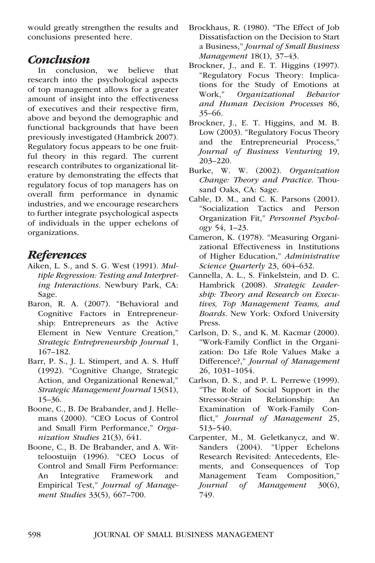would greatly strengthen the results and conclusions presented here.

## *Conclusion*

In conclusion, we believe that research into the psychological aspects of top management allows for a greater amount of insight into the effectiveness of executives and their respective firm, above and beyond the demographic and functional backgrounds that have been previously investigated (Hambrick 2007). Regulatory focus appears to be one fruitful theory in this regard. The current research contributes to organizational literature by demonstrating the effects that regulatory focus of top managers has on overall firm performance in dynamic industries, and we encourage researchers to further integrate psychological aspects of individuals in the upper echelons of organizations.

## *References*

- Aiken, L. S., and S. G. West (1991). *Multiple Regression: Testing and Interpreting Interactions*. Newbury Park, CA: Sage.
- Baron, R. A. (2007). "Behavioral and Cognitive Factors in Entrepreneurship: Entrepreneurs as the Active Element in New Venture Creation," *Strategic Entrepreneurship Journal* 1, 167–182.
- Barr, P. S., J. L. Stimpert, and A. S. Huff (1992). "Cognitive Change, Strategic Action, and Organizational Renewal," *Strategic Management Journal* 13(S1), 15–36.
- Boone, C., B. De Brabander, and J. Hellemans (2000). "CEO Locus of Control and Small Firm Performance," *Organization Studies* 21(3), 641.
- Boone, C., B. De Brabander, and A. Witteloostuijn (1996). "CEO Locus of Control and Small Firm Performance: An Integrative Framework and Empirical Test," *Journal of Management Studies* 33(5), 667–700.
- Brockhaus, R. (1980). "The Effect of Job Dissatisfaction on the Decision to Start a Business," *Journal of Small Business Management* 18(1), 37–43.
- Brockner, J., and E. T. Higgins (1997). "Regulatory Focus Theory: Implications for the Study of Emotions at Work," *Organizational Behavior and Human Decision Processes* 86, 35–66.
- Brockner, J., E. T. Higgins, and M. B. Low (2003). "Regulatory Focus Theory and the Entrepreneurial Process," *Journal of Business Venturing* 19, 203–220.
- Burke, W. W. (2002). *Organization Change: Theory and Practice*. Thousand Oaks, CA: Sage.
- Cable, D. M., and C. K. Parsons (2001). "Socialization Tactics and Person Organization Fit," *Personnel Psychology* 54, 1–23.
- Cameron, K. (1978). "Measuring Organizational Effectiveness in Institutions of Higher Education," *Administrative Science Quarterly* 23, 604–632.
- Cannella, A. L., S. Finkelstein, and D. C. Hambrick (2008). *Strategic Leadership: Theory and Research on Executives, Top Management Teams, and Boards*. New York: Oxford University Press.
- Carlson, D. S., and K. M. Kacmar (2000). "Work-Family Conflict in the Organization: Do Life Role Values Make a Difference?," *Journal of Management* 26, 1031–1054.
- Carlson, D. S., and P. L. Perrewe (1999). "The Role of Social Support in the Stressor-Strain Relationship: An Examination of Work-Family Conflict," *Journal of Management* 25, 513–540.
- Carpenter, M., M. Geletkanycz, and W. Sanders (2004). "Upper Echelons Research Revisited: Antecedents, Elements, and Consequences of Top Management Team Composition," *Journal of Management* 30(6), 749.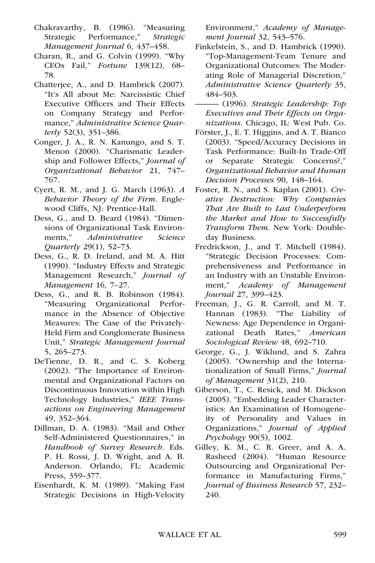- Chakravarthy, B. (1986). "Measuring Strategic Performance," *Strategic Management Journal* 6, 437–458.
- Charan, R., and G. Colvin (1999). "Why CEOs Fail," *Fortune* 139(12), 68– 78.
- Chatterjee, A., and D. Hambrick (2007). "It's All about Me: Narcissistic Chief Executive Officers and Their Effects on Company Strategy and Performance," *Administrative Science Quarterly* 52(3), 351–386.
- Conger, J. A., R. N. Kanungo, and S. T. Menon (2000). "Charismatic Leadership and Follower Effects," *Journal of Organizational Behavior* 21, 747– 767.
- Cyert, R. M., and J. G. March (1963). *A Behavior Theory of the Firm*. Englewood Cliffs, NJ: Prentice-Hall.
- Dess, G., and D. Beard (1984). "Dimensions of Organizational Task Environments," *Administrative Science Quarterly* 29(1), 52–73.
- Dess, G., R. D. Ireland, and M. A. Hitt (1990). "Industry Effects and Strategic Management Research," *Journal of Management* 16, 7–27.
- Dess, G., and R. B. Robinson (1984). "Measuring Organizational Performance in the Absence of Objective Measures: The Case of the Privately-Held Firm and Conglomerate Business Unit," *Strategic Management Journal* 5, 265–273.
- DeTienne, D. R., and C. S. Koberg (2002). "The Importance of Environmental and Organizational Factors on Discontinuous Innovation within High Technology Industries," *IEEE Transactions on Engineering Management* 49, 352–364.
- Dillman, D. A. (1983). "Mail and Other Self-Administered Questionnaires," in *Handbook of Survey Research*. Eds. P. H. Rossi, J. D. Wright, and A. B. Anderson. Orlando, FL: Academic Press, 359–377.
- Eisenhardt, K. M. (1989). "Making Fast Strategic Decisions in High-Velocity

Environment," *Academy of Management Journal* 32, 543–576.

Finkelstein, S., and D. Hambrick (1990). "Top-Management-Team Tenure and Organizational Outcomes: The Moderating Role of Managerial Discretion," *Administrative Science Quarterly* 35, 484–503.

——— (1996). *Strategic Leadership: Top Executives and Their Effects on Organizations*. Chicago, IL: West Pub. Co.

- Förster, J., E. T. Higgins, and A. T. Bianco (2003). "Speed/Accuracy Decisions in Task Performance: Built-In Trade-Off or Separate Strategic Concerns?," *Organizational Behavior and Human Decision Processes* 90, 148–164.
- Foster, R. N., and S. Kaplan (2001). *Creative Destruction: Why Companies That Are Built to Last Underperform the Market and How to Successfully Transform Them*. New York: Doubleday Business.
- Fredrickson, J., and T. Mitchell (1984). "Strategic Decision Processes: Comprehensiveness and Performance in an Industry with an Unstable Environment," *Academy of Management Journal* 27, 399–423.
- Freeman, J., G. R. Carroll, and M. T. Hannan (1983). "The Liability of Newness: Age Dependence in Organizational Death Rates," *American Sociological Review* 48, 692–710.
- George, G., J. Wiklund, and S. Zahra (2005). "Ownership and the Internationalization of Small Firms," *Journal of Management* 31(2), 210.
- Giberson, T., C. Resick, and M. Dickson (2005). "Embedding Leader Characteristics: An Examination of Homogeneity of Personality and Values in Organizations," *Journal of Applied Psychology* 90(5), 1002.
- Gilley, K. M., C. R. Greer, and A. A. Rasheed (2004). "Human Resource Outsourcing and Organizational Performance in Manufacturing Firms," *Journal of Business Research* 57, 232– 240.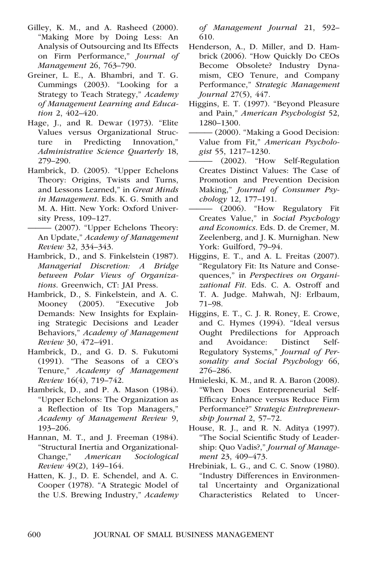- Gilley, K. M., and A. Rasheed (2000). "Making More by Doing Less: An Analysis of Outsourcing and Its Effects on Firm Performance," *Journal of Management* 26, 763–790.
- Greiner, L. E., A. Bhambri, and T. G. Cummings (2003). "Looking for a Strategy to Teach Strategy," *Academy of Management Learning and Education* 2, 402–420.
- Hage, J., and R. Dewar (1973). "Elite Values versus Organizational Structure in Predicting Innovation," *Administrative Science Quarterly* 18, 279–290.
- Hambrick, D. (2005). "Upper Echelons Theory: Origins, Twists and Turns, and Lessons Learned," in *Great Minds in Management*. Eds. K. G. Smith and M. A. Hitt. New York: Oxford University Press, 109–127.
- ——— (2007). "Upper Echelons Theory: An Update," *Academy of Management Review* 32, 334–343.
- Hambrick, D., and S. Finkelstein (1987). *Managerial Discretion: A Bridge between Polar Views of Organizations*. Greenwich, CT: JAI Press.
- Hambrick, D., S. Finkelstein, and A. C. Mooney (2005). "Executive Job Demands: New Insights for Explaining Strategic Decisions and Leader Behaviors," *Academy of Management Review* 30, 472–491.
- Hambrick, D., and G. D. S. Fukutomi (1991). "The Seasons of a CEO's Tenure," *Academy of Management Review* 16(4), 719–742.
- Hambrick, D., and P. A. Mason (1984). "Upper Echelons: The Organization as a Reflection of Its Top Managers," *Academy of Management Review* 9, 193–206.
- Hannan, M. T., and J. Freeman (1984). "Structural Inertia and Organizational-Change," *American Sociological Review* 49(2), 149–164.
- Hatten, K. J., D. E. Schendel, and A. C. Cooper (1978). "A Strategic Model of the U.S. Brewing Industry," *Academy*

*of Management Journal* 21, 592– 610.

- Henderson, A., D. Miller, and D. Hambrick (2006). "How Quickly Do CEOs Become Obsolete? Industry Dynamism, CEO Tenure, and Company Performance," *Strategic Management Journal* 27(5), 447.
- Higgins, E. T. (1997). "Beyond Pleasure and Pain," *American Psychologist* 52, 1280–1300.
- $-$  (2000). "Making a Good Decision: Value from Fit," *American Psychologist* 55, 1217–1230.
- ——— (2002). "How Self-Regulation Creates Distinct Values: The Case of Promotion and Prevention Decision Making," *Journal of Consumer Psychology* 12, 177–191.
- ——— (2006). "How Regulatory Fit Creates Value," in *Social Psychology and Economics*. Eds. D. de Cremer, M. Zeelenberg, and J. K. Murnighan. New York: Guilford, 79–94.
- Higgins, E. T., and A. L. Freitas (2007). "Regulatory Fit: Its Nature and Consequences," in *Perspectives on Organizational Fit*. Eds. C. A. Ostroff and T. A. Judge. Mahwah, NJ: Erlbaum, 71–98.
- Higgins, E. T., C. J. R. Roney, E. Crowe, and C. Hymes (1994). "Ideal versus Ought Predilections for Approach and Avoidance: Distinct Self-Regulatory Systems," *Journal of Personality and Social Psychology* 66, 276–286.
- Hmieleski, K. M., and R. A. Baron (2008). "When Does Entrepreneurial Self-Efficacy Enhance versus Reduce Firm Performance?" *Strategic Entrepreneurship Journal* 2, 57–72.
- House, R. J., and R. N. Aditya (1997). "The Social Scientific Study of Leadership: Quo Vadis?," *Journal of Management* 23, 409–473.
- Hrebiniak, L. G., and C. C. Snow (1980). "Industry Differences in Environmental Uncertainty and Organizational Characteristics Related to Uncer-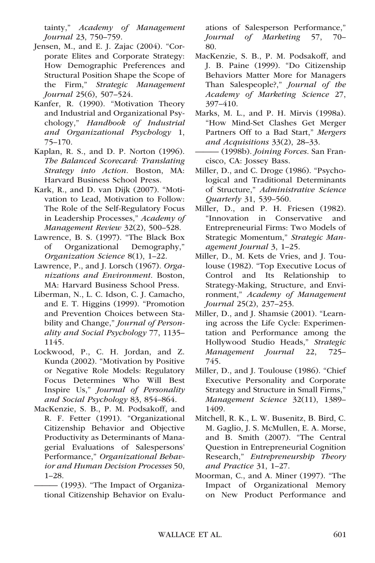tainty," *Academy of Management Journal* 23, 750–759.

- Jensen, M., and E. J. Zajac (2004). "Corporate Elites and Corporate Strategy: How Demographic Preferences and Structural Position Shape the Scope of the Firm," *Strategic Management Journal* 25(6), 507–524.
- Kanfer, R. (1990). "Motivation Theory and Industrial and Organizational Psychology," *Handbook of Industrial and Organizational Psychology* 1, 75–170.
- Kaplan, R. S., and D. P. Norton (1996). *The Balanced Scorecard: Translating Strategy into Action*. Boston, MA: Harvard Business School Press.
- Kark, R., and D. van Dijk (2007). "Motivation to Lead, Motivation to Follow: The Role of the Self-Regulatory Focus in Leadership Processes," *Academy of Management Review* 32(2), 500–528.
- Lawrence, B. S. (1997). "The Black Box of Organizational Demography," *Organization Science* 8(1), 1–22.
- Lawrence, P., and J. Lorsch (1967). *Organizations and Environment*. Boston, MA: Harvard Business School Press.
- Liberman, N., L. C. Idson, C. J. Camacho, and E. T. Higgins (1999). "Promotion and Prevention Choices between Stability and Change," *Journal of Personality and Social Psychology* 77, 1135– 1145.
- Lockwood, P., C. H. Jordan, and Z. Kunda (2002). "Motivation by Positive or Negative Role Models: Regulatory Focus Determines Who Will Best Inspire Us," *Journal of Personality and Social Psychology* 83, 854–864.
- MacKenzie, S. B., P. M. Podsakoff, and R. F. Fetter (1991). "Organizational Citizenship Behavior and Objective Productivity as Determinants of Managerial Evaluations of Salespersons' Performance," *Organizational Behavior and Human Decision Processes* 50, 1–28.
	- (1993). "The Impact of Organizational Citizenship Behavior on Evalu-

ations of Salesperson Performance," *Journal of Marketing* 57, 70– 80.

- MacKenzie, S. B., P. M. Podsakoff, and J. B. Paine (1999). "Do Citizenship Behaviors Matter More for Managers Than Salespeople?," *Journal of the Academy of Marketing Science* 27, 397–410.
- Marks, M. L., and P. H. Mirvis (1998a). "How Mind-Set Clashes Get Merger Partners Off to a Bad Start," *Mergers and Acquisitions* 33(2), 28–33.
	- ——— (1998b). *Joining Forces*. San Francisco, CA: Jossey Bass.
- Miller, D., and C. Droge (1986). "Psychological and Traditional Determinants of Structure," *Administrative Science Quarterly* 31, 539–560.
- Miller, D., and P. H. Friesen (1982). "Innovation in Conservative and Entrepreneurial Firms: Two Models of Strategic Momentum," *Strategic Management Journal* 3, 1–25.
- Miller, D., M. Kets de Vries, and J. Toulouse (1982). "Top Executive Locus of Control and Its Relationship to Strategy-Making, Structure, and Environment," *Academy of Management Journal* 25(2), 237–253.
- Miller, D., and J. Shamsie (2001). "Learning across the Life Cycle: Experimentation and Performance among the Hollywood Studio Heads," *Strategic Management Journal* 22, 725– 745.
- Miller, D., and J. Toulouse (1986). "Chief Executive Personality and Corporate Strategy and Structure in Small Firms," *Management Science* 32(11), 1389– 1409.
- Mitchell, R. K., L. W. Busenitz, B. Bird, C. M. Gaglio, J. S. McMullen, E. A. Morse, and B. Smith (2007). "The Central Question in Entrepreneurial Cognition Research," *Entrepreneurship Theory and Practice* 31, 1–27.
- Moorman, C., and A. Miner (1997). "The Impact of Organizational Memory on New Product Performance and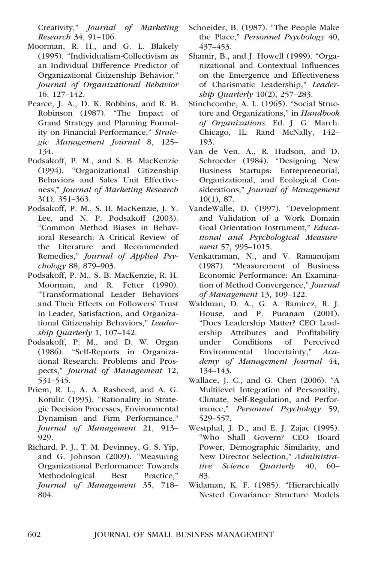Creativity," *Journal of Marketing Research* 34, 91–106.

- Moorman, R. H., and G. L. Blakely (1995). "Individualism-Collectivism as an Individual Difference Predictor of Organizational Citizenship Behavior," *Journal of Organizational Behavior* 16, 127–142.
- Pearce, J. A., D. K. Robbins, and R. B. Robinson (1987). "The Impact of Grand Strategy and Planning Formality on Financial Performance," *Strategic Management Journal* 8, 125– 134.
- Podsakoff, P. M., and S. B. MacKenzie (1994). "Organizational Citizenship Behaviors and Sales Unit Effectiveness," *Journal of Marketing Research* 3(1), 351–363.
- Podsakoff, P. M., S. B. MacKenzie, J. Y. Lee, and N. P. Podsakoff (2003). "Common Method Biases in Behavioral Research: A Critical Review of the Literature and Recommended Remedies," *Journal of Applied Psychology* 88, 879–903.
- Podsakoff, P. M., S. B. MacKenzie, R. H. Moorman, and R. Fetter (1990). "Transformational Leader Behaviors and Their Effects on Followers' Trust in Leader, Satisfaction, and Organizational Citizenship Behaviors," *Leadership Quarterly* 1, 107–142.
- Podsakoff, P. M., and D. W. Organ (1986). "Self-Reports in Organizational Research: Problems and Prospects," *Journal of Management* 12, 531–545.
- Priem, R. L., A. A. Rasheed, and A. G. Kotulic (1995). "Rationality in Strategic Decision Processes, Environmental Dynamism and Firm Performance," *Journal of Management* 21, 913– 929.
- Richard, P. J., T. M. Devinney, G. S. Yip, and G. Johnson (2009). "Measuring Organizational Performance: Towards Methodological Best Practice," *Journal of Management* 35, 718– 804.
- Schneider, B. (1987). "The People Make the Place," *Personnel Psychology* 40, 437–453.
- Shamir, B., and J. Howell (1999). "Organizational and Contextual Influences on the Emergence and Effectiveness of Charismatic Leadership," *Leadership Quarterly* 10(2), 257–283.
- Stinchcombe, A. L. (1965). "Social Structure and Organizations," in *Handbook of Organizations*. Ed. J. G. March. Chicago, IL: Rand McNally, 142– 193.
- Van de Ven, A., R. Hudson, and D. Schroeder (1984). "Designing New Business Startups: Entrepreneurial, Organizational, and Ecological Considerations," *Journal of Management* 10(1), 87.
- VandeWalle, D. (1997). "Development and Validation of a Work Domain Goal Orientation Instrument," *Educational and Psychological Measurement* 57, 995–1015.
- Venkatraman, N., and V. Ramanujam (1987). "Measurement of Business Economic Performance: An Examination of Method Convergence," *Journal of Management* 13, 109–122.
- Waldman, D. A., G. A. Ramirez, R. J. House, and P. Puranam (2001). "Does Leadership Matter? CEO Leadership Attributes and Profitability under Conditions of Perceived Environmental Uncertainty," *Academy of Management Journal* 44, 134–143.
- Wallace, J. C., and G. Chen (2006). "A Multilevel Integration of Personality, Climate, Self-Regulation, and Performance," *Personnel Psychology* 59, 529–557.
- Westphal, J. D., and E. J. Zajac (1995). "Who Shall Govern? CEO Board Power, Demographic Similarity, and New Director Selection," *Administrative Science Quarterly* 40, 60– 83.
- Widaman, K. F. (1985). "Hierarchically Nested Covariance Structure Models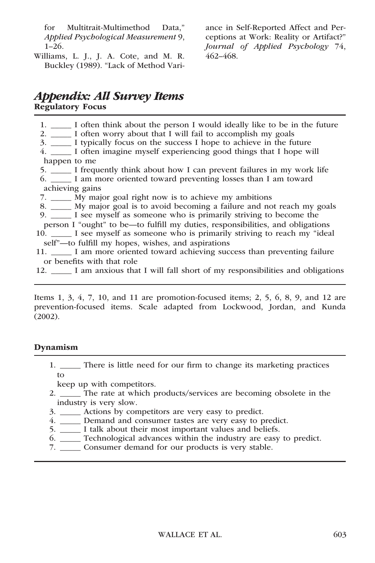for Multitrait-Multimethod Data," *Applied Psychological Measurement* 9, 1–26.

Williams, L. J., J. A. Cote, and M. R. Buckley (1989). "Lack of Method Vari-

ance in Self-Reported Affect and Perceptions at Work: Reality or Artifact?" *Journal of Applied Psychology* 74, 462–468.

### *Appendix: All Survey Items* Regulatory Focus

- 1. \_\_\_\_\_ I often think about the person I would ideally like to be in the future
- 2. \_\_\_\_\_ I often worry about that I will fail to accomplish my goals
- 3. \_\_\_\_\_ I typically focus on the success I hope to achieve in the future
- 4. \_\_\_\_\_ I often imagine myself experiencing good things that I hope will happen to me
- 5. \_\_\_\_\_ I frequently think about how I can prevent failures in my work life
- 6. \_\_\_\_\_ I am more oriented toward preventing losses than I am toward achieving gains
- 7. \_\_\_\_\_ My major goal right now is to achieve my ambitions
- 8. \_\_\_\_\_ My major goal is to avoid becoming a failure and not reach my goals
- 9. \_\_\_\_\_ I see myself as someone who is primarily striving to become the
- person I "ought" to be—to fulfill my duties, responsibilities, and obligations 10. \_\_\_\_\_ I see myself as someone who is primarily striving to reach my "ideal
- self"—to fulfill my hopes, wishes, and aspirations
- 11. \_\_\_\_\_ I am more oriented toward achieving success than preventing failure or benefits with that role
- 12. \_\_\_\_\_ I am anxious that I will fall short of my responsibilities and obligations

Items 1, 3,  $4$ ,  $7$ ,  $10$ , and  $11$  are promotion-focused items; 2, 5, 6, 8, 9, and  $12$  are prevention-focused items. Scale adapted from Lockwood, Jordan, and Kunda (2002).

#### Dynamism

- 1. There is little need for our firm to change its marketing practices to
- keep up with competitors.
- 2. \_\_\_\_\_ The rate at which products/services are becoming obsolete in the industry is very slow.
- 3. \_\_\_\_\_ Actions by competitors are very easy to predict.
- 4. \_\_\_\_\_ Demand and consumer tastes are very easy to predict.
- 5. \_\_\_\_\_ I talk about their most important values and beliefs.
- 6. \_\_\_\_\_ Technological advances within the industry are easy to predict.
- 7. \_\_\_\_\_ Consumer demand for our products is very stable.